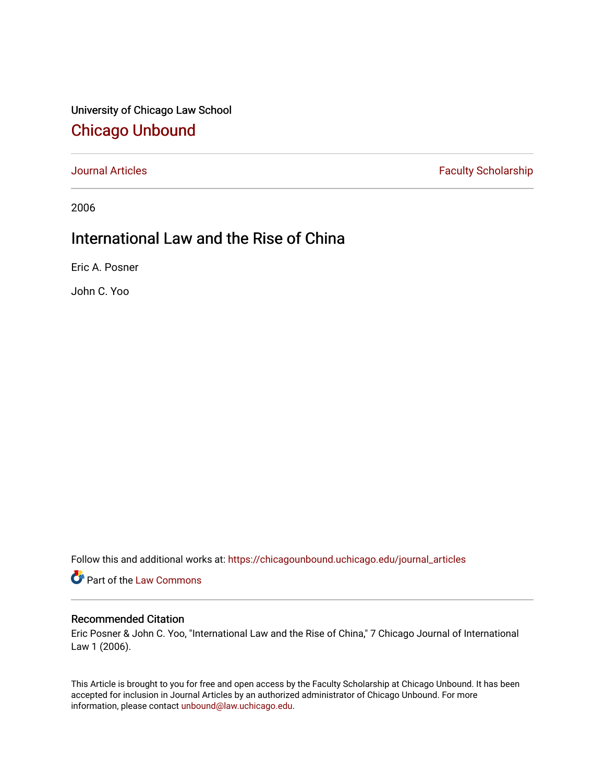# University of Chicago Law School [Chicago Unbound](https://chicagounbound.uchicago.edu/)

[Journal Articles](https://chicagounbound.uchicago.edu/journal_articles) **Faculty Scholarship Faculty Scholarship** 

2006

# International Law and the Rise of China

Eric A. Posner

John C. Yoo

Follow this and additional works at: [https://chicagounbound.uchicago.edu/journal\\_articles](https://chicagounbound.uchicago.edu/journal_articles?utm_source=chicagounbound.uchicago.edu%2Fjournal_articles%2F1744&utm_medium=PDF&utm_campaign=PDFCoverPages) 

Part of the [Law Commons](http://network.bepress.com/hgg/discipline/578?utm_source=chicagounbound.uchicago.edu%2Fjournal_articles%2F1744&utm_medium=PDF&utm_campaign=PDFCoverPages)

#### Recommended Citation

Eric Posner & John C. Yoo, "International Law and the Rise of China," 7 Chicago Journal of International Law 1 (2006).

This Article is brought to you for free and open access by the Faculty Scholarship at Chicago Unbound. It has been accepted for inclusion in Journal Articles by an authorized administrator of Chicago Unbound. For more information, please contact [unbound@law.uchicago.edu](mailto:unbound@law.uchicago.edu).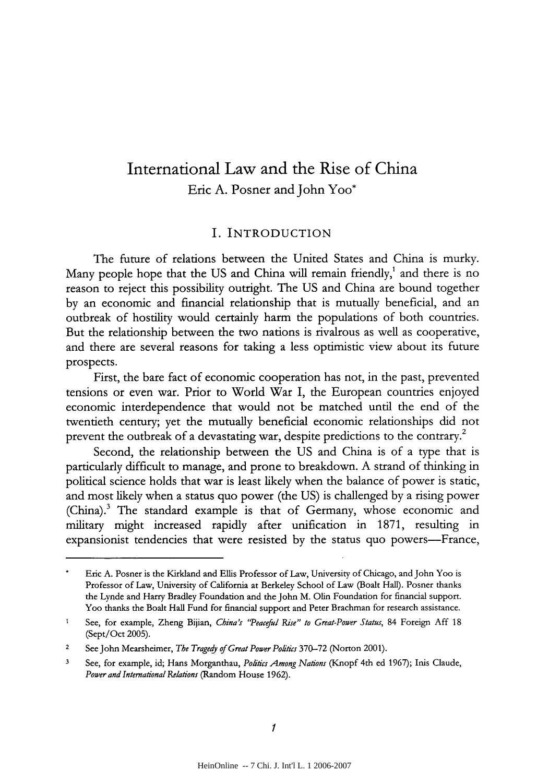# International Law and the Rise of China Eric A. Posner and John Yoo\*

#### I. INTRODUCTION

The future of relations between the United States and China is murky. Many people hope that the US and China will remain friendly,<sup>1</sup> and there is no reason to reject this possibility outright. The US and China are bound together by an economic and financial relationship that is mutually beneficial, and an outbreak of hostility would certainly harm the populations of both countries. But the relationship between the two nations is rivalrous as well as cooperative, and there are several reasons for taking a less optimistic view about its future prospects.

First, the bare fact of economic cooperation has not, in the past, prevented tensions or even war. Prior to World War I, the European countries enjoyed economic interdependence that would not be matched until the end of the twentieth century; yet the mutually beneficial economic relationships did not prevent the outbreak of a devastating war, despite predictions to the contrary.<sup>2</sup>

Second, the relationship between the US and China is of a type that is particularly difficult to manage, and prone to breakdown. A strand of thinking in political science holds that war is least likely when the balance of power is static, and most likely when a status quo power (the US) is challenged by a rising power (China).3 The standard example is that of Germany, whose economic and military might increased rapidly after unification in 1871, resulting in expansionist tendencies that were resisted by the status quo powers-France,

Eric A. Posner is the Kirkland and Ellis Professor of Law, University of Chicago, and John Yoo is Professor of Law, University of California at Berkeley School of Law (Boalt Hall). Posner thanks the Lynde and Harry Bradley Foundation and the John M. Olin Foundation for financial support. Yoo thanks the Boalt Hall Fund for financial support and Peter Brachman for research assistance.

**<sup>1</sup>** See, for example, Zheng Bijian, *China's 'Peaceful Rise" to Great-Power Status,* 84 Foreign **Aff** 18 (Sept/Oct 2005).

<sup>2</sup> See John Mearsheimer, *The Tragedy of Great Power Politics* 370-72 (Norton 2001).

**<sup>3</sup>** See, for example, id; Hans Morganthau, *Poitics Among Nations* (Knopf 4th ed 1967); Inis Claude, *Power and International Relations* (Random House 1962).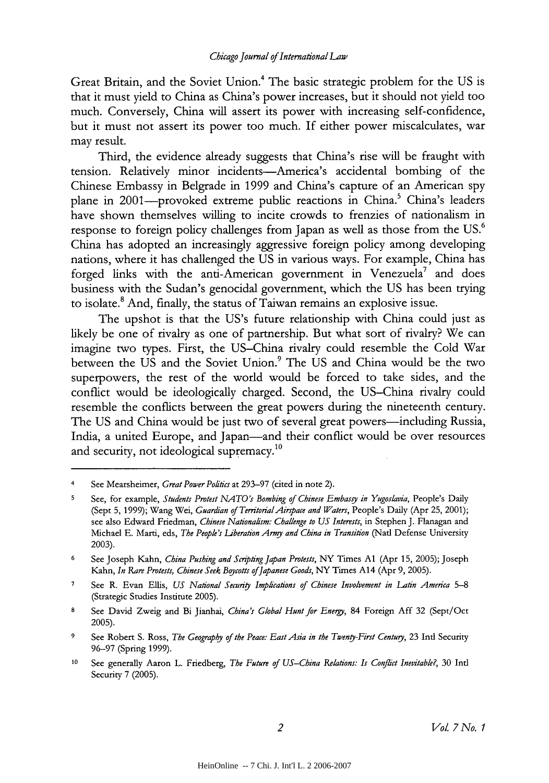Great Britain, and the Soviet Union.<sup>4</sup> The basic strategic problem for the US is that it must yield to China as China's power increases, but it should not yield too much. Conversely, China will assert its power with increasing self-confidence, but it must not assert its power too much. If either power miscalculates, war may result.

Third, the evidence already suggests that China's rise will be fraught with tension. Relatively minor incidents-America's accidental bombing of the Chinese Embassy in Belgrade in 1999 and China's capture of an American spy plane in 2001—provoked extreme public reactions in China.<sup>5</sup> China's leaders have shown themselves willing to incite crowds to frenzies of nationalism in response to foreign policy challenges from Japan as well as those from the US.6 China has adopted an increasingly aggressive foreign policy among developing nations, where it has challenged the US in various ways. For example, China has forged links with the anti-American government in Venezuela<sup>7</sup> and does business with the Sudan's genocidal government, which the US has been trying to isolate.8 And, finally, the status of Taiwan remains an explosive issue.

The upshot is that the US's future relationship with China could just as likely be one of rivalry as one of partnership. But what sort of rivalry? We can imagine two types. First, the US-China rivalry could resemble the Cold War between the US and the Soviet Union.<sup>9</sup> The US and China would be the two superpowers, the rest of the world would be forced to take sides, and the conflict would be ideologically charged. Second, the US-China rivalry could resemble the conflicts between the great powers during the nineteenth century. The US and China would be just two of several great powers—including Russia, India, a united Europe, and Japan—and their conflict would be over resources and security, not ideological supremacy.<sup>10</sup>

See Mearsheimer, *Great Power Politics* at 293-97 (cited in note 2).

**<sup>5</sup>** See, for example, *Students Protest NATO's Bombing of Chinese Embasgy in Yugoslavia,* People's Daily (Sept 5, 1999); Wang Wei, *Guardian of Territorial Airspace and Waters*, People's Daily (Apr 25, 2001); see also Edward Friedman, *Chinese Nationalism: Challenge to US Interests,* in Stephen J. Flanagan and Michael E. Marti, eds, *The People's liberation Army and China in Transition* (Nad Defense University 2003).

**<sup>6</sup>** See Joseph Kahn, China *Pushing and Scripting Japan Protests,* NY Times **Al** (Apr 15, 2005); Joseph Kahn, *In Rare Protests, Chinese Seek Boycotts of Japanese Goods*, NY Times A14 (Apr 9, 2005).

**<sup>7</sup>** See R. Evan Ellis, *US National Security Implications of Chinese Involvement in Latin America 5-8* (Strategic Studies Institute 2005).

**<sup>8</sup>** See David Zweig and Bi Jianhai, *China's Global Hunt for Eneg,* 84 Foreign **Aff** 32 (Sept/Oct 2005).

**<sup>9</sup>** See Robert S. Ross, *The Geography of the Peace: East Asia in the Twenty-First Century,* 23 Intl Security 96-97 (Spring 1999).

**<sup>10</sup>**See generally Aaron L. Friedberg, *The Future of US-China Relations: Is Conflict Inevitable?,* 30 Intl Security 7 (2005).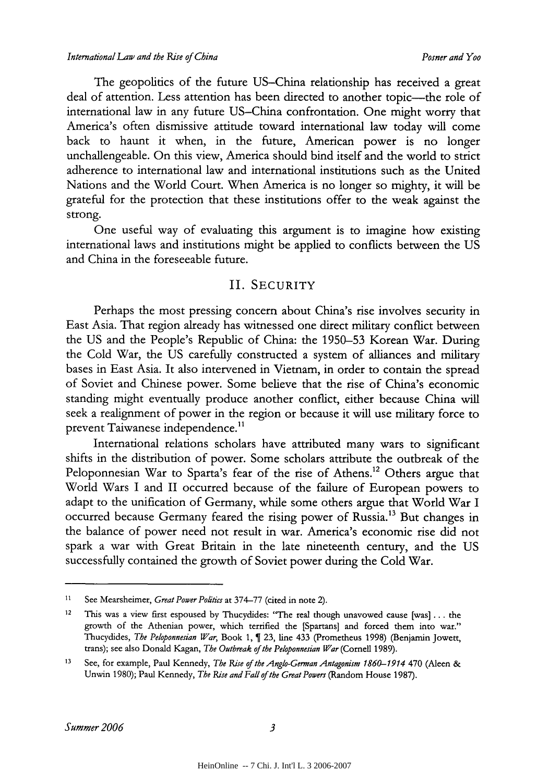The geopolitics of the future US-China relationship has received a great deal of attention. Less attention has been directed to another topic-the role of international law in any future US-China confrontation. One might worry that America's often dismissive attitude toward international law today will come back to haunt it when, in the future, American power is no longer unchallengeable. On this view, America should bind itself and the world to strict adherence to international law and international institutions such as the United Nations and the World Court. When America is no longer so mighty, it will be grateful for the protection that these institutions offer to the weak against the strong.

One useful way of evaluating this argument is to imagine how existing international laws and institutions might be applied to conflicts between the US and China in the foreseeable future.

## II. SECURITY

Perhaps the most pressing concern about China's rise involves security in East Asia. That region already has witnessed one direct military conflict between the US and the People's Republic of China: the 1950-53 Korean War. During the Cold War, the US carefully constructed a system of alliances and military bases in East Asia. It also intervened in Vietnam, in order to contain the spread of Soviet and Chinese power. Some believe that the rise of China's economic standing might eventually produce another conflict, either because China will seek a realignment of power in the region or because it will use military force to prevent Taiwanese independence.<sup>11</sup>

International relations scholars have attributed many wars to significant shifts in the distribution of power. Some scholars attribute the outbreak of the Peloponnesian War to Sparta's fear of the rise of Athens.<sup>12</sup> Others argue that World Wars I and II occurred because of the failure of European powers to adapt to the unification of Germany, while some others argue that World War I occurred because Germany feared the rising power of Russia.<sup>13</sup> But changes in the balance of power need not result in war. America's economic rise did not spark a war with Great Britain in the late nineteenth century, and the US successfully contained the growth of Soviet power during the Cold War.

<sup>11</sup> See Mearsheimer, *Great Power Poitics* at 374-77 (cited in note 2).

<sup>&</sup>lt;sup>12</sup> This was a view first espoused by Thucydides: "The real though unavowed cause  $[was]$ ... the growth of the Athenian power, which terrified the [Spartans] and forced them into war." Thucydides, *The Peloponnesian War*, Book 1, 1 23, line 433 (Prometheus 1998) (Benjamin Jowett, trans); see also Donald Kagan, *The Outbreak of the Peloponnesian War* (Cornell 1989).

<sup>13</sup> See, for example, Paul Kennedy, *The Rise of the Anglo-German Antagonism 1860-1914* 470 (Aleen & Unwin 1980); Paul Kennedy, *The Rise and Fall of the Great Powers* (Random House 1987).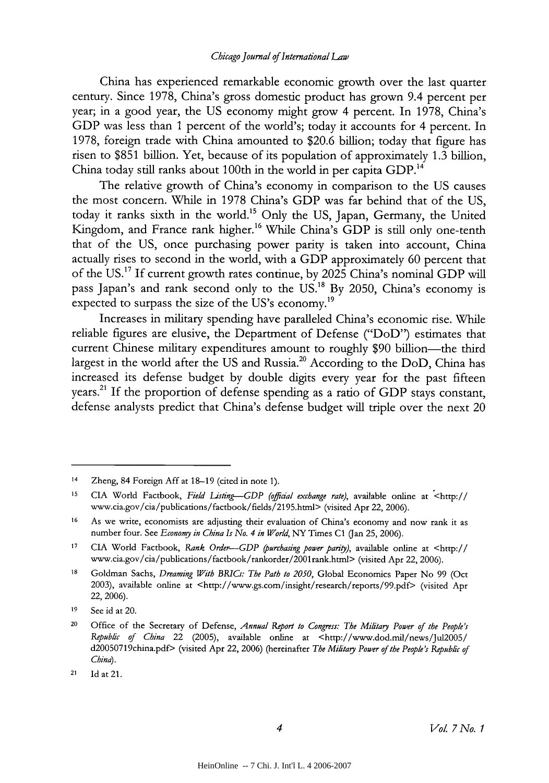#### *Chicago Journal of Internafional Law*

China has experienced remarkable economic growth over the last quarter century. Since 1978, China's gross domestic product has grown 9.4 percent per year; in a good year, the US economy might grow 4 percent. In 1978, China's GDP was less than 1 percent of the world's; today it accounts for 4 percent. In 1978, foreign trade with China amounted to \$20.6 billion; today that figure has risen to \$851 billion. Yet, because of its population of approximately 1.3 billion, China today still ranks about 100th in the world in per capita GDP.<sup>14</sup>

The relative growth of China's economy in comparison to the US causes the most concern. While in 1978 China's GDP was far behind that of the US, today it ranks sixth in the world."5 Only the US, Japan, Germany, the United Kingdom, and France rank higher.<sup>16</sup> While China's GDP is still only one-tenth that of the US, once purchasing power parity is taken into account, China actually rises to second in the world, with a GDP approximately 60 percent that of the US. 17 If current growth rates continue, by 2025 China's nominal GDP will pass Japan's and rank second only to the US.<sup>18</sup> By 2050, China's economy is expected to surpass the size of the US's economy.<sup>19</sup>

Increases in military spending have paralleled China's economic rise. While reliable figures are elusive, the Department of Defense ("DoD") estimates that current Chinese military expenditures amount to roughly \$90 billion—the third largest in the world after the US and Russia.<sup>20</sup> According to the DoD, China has increased its defense budget by double digits every year for the past fifteen years.<sup>21</sup> If the proportion of defense spending as a ratio of GDP stays constant, defense analysts predict that China's defense budget will triple over the next 20

<sup>14</sup> Zheng, 84 Foreign **Aff** at 18-19 (cited in note **1).**

**<sup>15</sup>** CIA World Factbook, *Field Lising--GDP (official exchange rate),* available online at <http:// www.cia.gov/cia/publications/factbook/fields/2195.html> (visited Apr 22, 2006).

**<sup>16</sup>**As we write, economists are adjusting their evaluation of China's economy and now rank it as number four. See *Economy in China Is No. 4 in World,* NY Times **C1** (Jan 25, 2006).

**<sup>17</sup>** CIA World Factbook, *Rank Order-GDP (purchasing power pariy),* available online at <http:// www.cia.gov/cia/pubbications/factbook/rankorder/2001 rank.html> (visited Apr 22, 2006).

**<sup>18</sup>** Goldman Sachs, *Dreaming With BRICs: The Path to 2050,* Global Economics Paper No 99 (Oct 2003), available online at <http://www.gs.com/insight/research/reports/99.pdf> (visited Apr 22, 2006).

**<sup>19</sup>** See id at 20.

<sup>20</sup> Office of the Secretary of Defense, *Annual Report to Congress: The Military Power of the People's Republic of China* 22 (2005), available online at <http://www.dod.mil/news/Jul2005/ d20050719china.pdf> (visited Apr 22, 2006) (hereinafter *The Miitay Power of the People's Republic of China).*

<sup>21</sup> Id at 21.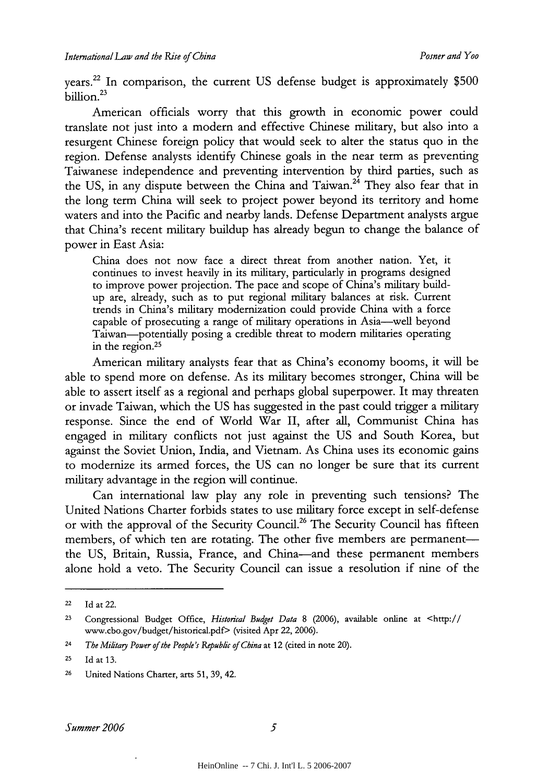vears.<sup>22</sup> In comparison, the current US defense budget is approximately \$500 billion.<sup>23</sup>

American officials worry that this growth in economic power could translate not just into a modern and effective Chinese military, but also into a resurgent Chinese foreign policy that would seek to alter the status quo in the region. Defense analysts identify Chinese goals in the near term as preventing Taiwanese independence and preventing intervention by third parties, such as the US, in any dispute between the China and Taiwan.<sup>24</sup> They also fear that in the long term China will seek to project power beyond its territory and home waters and into the Pacific and nearby lands. Defense Department analysts argue that China's recent military buildup has already begun to change the balance of power in East Asia:

China does not now face a direct threat from another nation. Yet, it continues to invest heavily in its military, particularly in programs designed to improve power projection. The pace and scope of China's military buildup are, already, such as to put regional military balances at risk. Current trends in China's military modernization could provide China with a force capable of prosecuting a range of military operations in Asia-well beyond Taiwan-potentially posing a credible threat to modem militaries operating in the region.<sup>25</sup>

American military analysts fear that as China's economy booms, it will be able to spend more on defense. As its military becomes stronger, China will be able to assert itself as a regional and perhaps global superpower. It may threaten or invade Taiwan, which the US has suggested in the past could trigger a military response. Since the end of World War II, after all, Communist China has engaged in military conflicts not just against the US and South Korea, but against the Soviet Union, India, and Vietnam. As China uses its economic gains to modernize its armed forces, the US can no longer be sure that its current military advantage in the region will continue.

Can international law play any role in preventing such tensions? The United Nations Charter forbids states to use military force except in self-defense or with the approval of the Security Council.<sup>26</sup> The Security Council has fifteen members, of which ten are rotating. The other five members are permanentthe US, Britain, Russia, France, and China-and these permanent members alone hold a veto. The Security Council can issue a resolution if nine of the

**<sup>22</sup> Id** at 22.

**<sup>23</sup>**Congressional Budget Office, *Historical Budget Data* 8 (2006), available online at <http:// www.cbo.gov/budget/historical.pdf> (visited Apr 22, 2006).

<sup>24</sup>*The Militagy Power of the People's Republic of China* at 12 (cited in note 20).

**<sup>25</sup>** Id at **13.**

<sup>&</sup>lt;sup>26</sup> United Nations Charter, arts 51, 39, 42.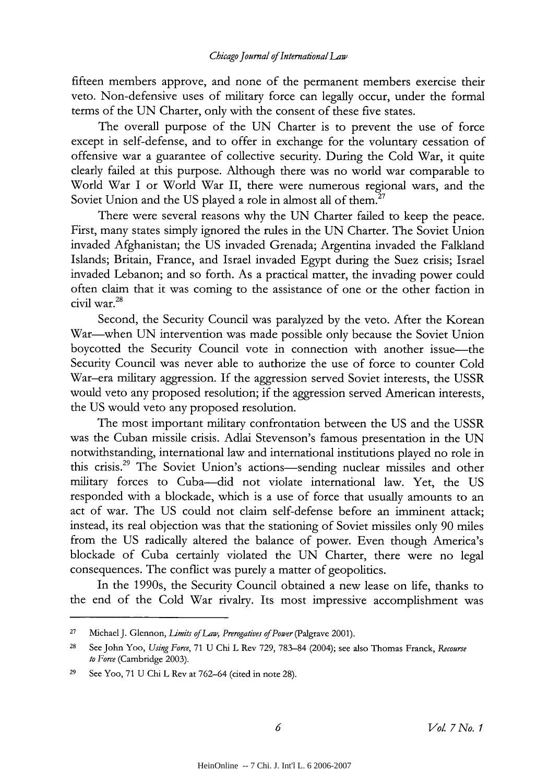fifteen members approve, and none of the permanent members exercise their veto. Non-defensive uses of military force can legally occur, under the formal terms of the UN Charter, only with the consent of these five states.

The overall purpose of the UN Charter is to prevent the use of force except in self-defense, and to offer in exchange for the voluntary cessation of offensive war a guarantee of collective security. During the Cold War, it quite clearly failed at this purpose. Although there was no world war comparable to World War I or World War II, there were numerous regional wars, and the Soviet Union and the US played a role in almost all of them.<sup>27</sup>

There were several reasons why the UN Charter failed to keep the peace. First, many states simply ignored the rules in the UN Charter. The Soviet Union invaded Afghanistan; the US invaded Grenada; Argentina invaded the Falkland Islands; Britain, France, and Israel invaded Egypt during the Suez crisis; Israel invaded Lebanon; and so forth. As a practical matter, the invading power could often claim that it was coming to the assistance of one or the other faction in civil war.28

Second, the Security Council was paralyzed by the veto. After the Korean War-when UN intervention was made possible only because the Soviet Union boycotted the Security Council vote in connection with another issue-the Security Council was never able to authorize the use of force to counter Cold War-era military aggression. If the aggression served Soviet interests, the USSR would veto any proposed resolution; if the aggression served American interests, the US would veto any proposed resolution.

The most important military confrontation between the US and the USSR was the Cuban missile crisis. Adlai Stevenson's famous presentation in the UN notwithstanding, international law and international institutions played no role in this crisis.<sup>29</sup> The Soviet Union's actions-sending nuclear missiles and other military forces to Cuba-did not violate international law. Yet, the US responded with a blockade, which is a use of force that usually amounts to an act of war. The US could not claim self-defense before an imminent attack; instead, its real objection was that the stationing of Soviet missiles only 90 miles from the US radically altered the balance of power. Even though America's blockade of Cuba certainly violated the UN Charter, there were no legal consequences. The conflict was purely a matter of geopolitics.

In the 1990s, the Security Council obtained a new lease on life, thanks to the end of the Cold War rivalry. Its most impressive accomplishment was

**<sup>27</sup>**Michael J. Glennon, *i'mits of Law, Prerogatives of Power* (Palgrave 2001).

**<sup>28</sup>**See John Yoo, *Using Force,* 71 U Chi L Rev 729, 783-84 (2004); see also Thomas Franck, *Recourse to Force* (Cambridge 2003).

<sup>29</sup> See Yoo, 71 U Chi L Rev at 762-64 (cited in note 28).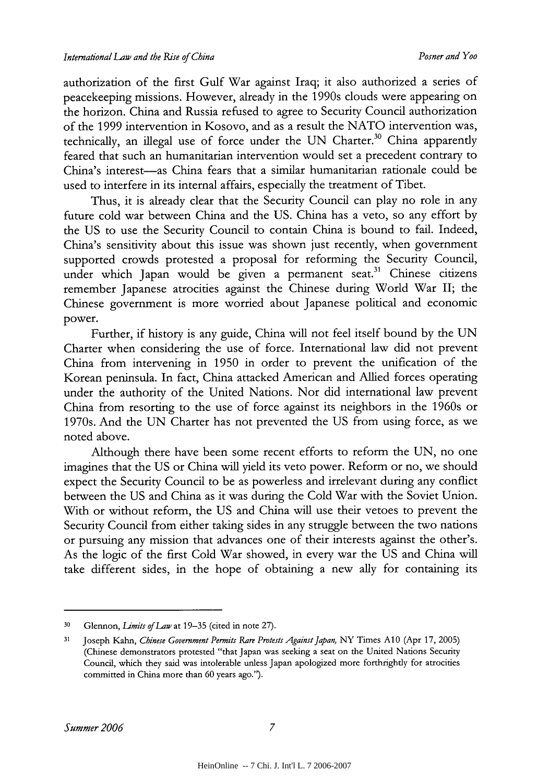authorization of the first Gulf War against Iraq; it also authorized a series of peacekeeping missions. However, already in the 1990s clouds were appearing on the horizon. China and Russia refused to agree to Security Council authorization of the 1999 intervention in Kosovo, and as a result the NATO intervention was, technically, an illegal use of force under the UN Charter.<sup>30</sup> China apparently feared that such an humanitarian intervention would set a precedent contrary to China's interest-as China fears that a similar humanitarian rationale could be used to interfere in its internal affairs, especially the treatment of Tibet.

Thus, it is already clear that the Security Council can play no role in any future cold war between China and the US. China has a veto, so any effort by the US to use the Security Council to contain China is bound to fail. Indeed, China's sensitivity about this issue was shown just recently, when government supported crowds protested a proposal for reforming the Security Council, under which Japan would be given a permanent seat.<sup>31</sup> Chinese citizens remember Japanese atrocities against the Chinese during World War II; the Chinese government is more worried about Japanese political and economic power.

Further, if history is any guide, China will not feel itself bound by the UN Charter when considering the use of force. International law did not prevent China from intervening in 1950 in order to prevent the unification of the Korean peninsula. In fact, China attacked American and Allied forces operating under the authority of the United Nations. Nor did international law prevent China from resorting to the use of force against its neighbors in the 1960s or 1970s. And the UN Charter has not prevented the US from using force, as we noted above.

Although there have been some recent efforts to reform the UN, no one imagines that the US or China will yield its veto power. Reform or no, we should expect the Security Council to be as powerless and irrelevant during any conflict between the US and China as it was during the Cold War with the Soviet Union. With or without reform, the US and China will use their vetoes to prevent the Security Council from either taking sides in any struggle between the two nations or pursuing any mission that advances one of their interests against the other's. As the logic of the first Cold War showed, in every war the US and China will take different sides, in the hope of obtaining a new ally for containing its

**<sup>30</sup>**Glennon, *Limits of Law* at 19-35 (cited in note 27).

**<sup>31</sup>**Joseph Kahn, *Chinese Government Permits Rare Protests Against Japan,* NY Times **Al** 0 (Apr 17, 2005) (Chinese demonstrators protested "that Japan was seeking a seat on the United Nations Security Council, which they said was intolerable unless Japan apologized more forthrightly for atrocities committed in China more than 60 years ago.").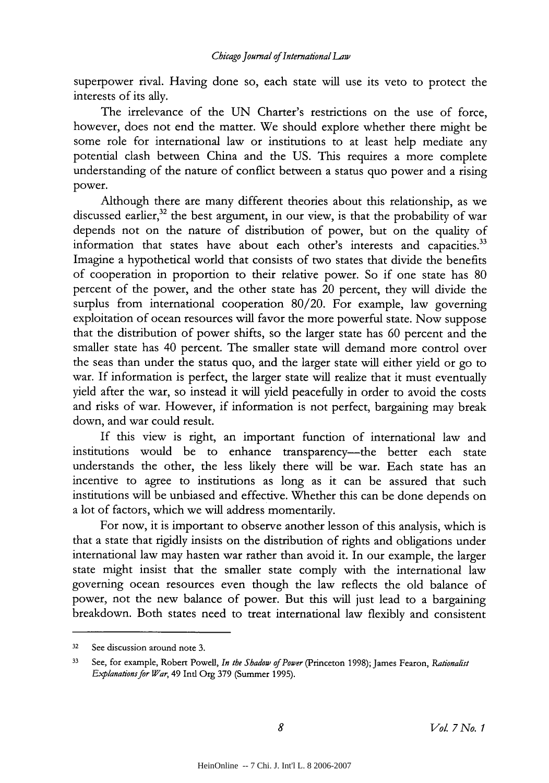superpower rival. Having done so, each state will use its veto to protect the interests of its ally.

The irrelevance of the UN Charter's restrictions on the use of force, however, does not end the matter. We should explore whether there might be some role for international law or institutions to at least help mediate any potential clash between China and the US. This requires a more complete understanding of the nature of conflict between a status quo power and a rising power.

Although there are many different theories about this relationship, as we discussed earlier,<sup>32</sup> the best argument, in our view, is that the probability of war depends not on the nature of distribution of power, but on the quality of information that states have about each other's interests and capacities.<sup>33</sup> Imagine a hypothetical world that consists of two states that divide the benefits of cooperation in proportion to their relative power. So if one state has 80 percent of the power, and the other state has 20 percent, they will divide the surplus from international cooperation 80/20. For example, law governing exploitation of ocean resources will favor the more powerful state. Now suppose that the distribution of power shifts, so the larger state has 60 percent and the smaller state has 40 percent. The smaller state will demand more control over the seas than under the status quo, and the larger state will either yield or go to war. If information is perfect, the larger state will realize that it must eventually yield after the war, so instead it will yield peacefully in order to avoid the costs and risks of war. However, if information is not perfect, bargaining may break down, and war could result.

If this view is right, an important function of international law and institutions would be to enhance transparency-the better each state understands the other, the less likely there will be war. Each state has an incentive to agree to institutions as long as it can be assured that such institutions will be unbiased and effective. Whether this can be done depends on a lot of factors, which we will address momentarily.

For now, it is important to observe another lesson of this analysis, which is that a state that rigidly insists on the distribution of rights and obligations under international law may hasten war rather than avoid it. In our example, the larger state might insist that the smaller state comply with the international law governing ocean resources even though the law reflects the old balance of power, not the new balance of power. But this will just lead to a bargaining breakdown. Both states need to treat international law flexibly and consistent

<sup>32</sup> See discussion around note 3.

**<sup>33</sup>** See, for example, Robert Powell, *In the Shadow of Power* (Princeton 1998); James Fearon, *Rationalist Explanations for War,* 49 Intl Org 379 (Summer 1995).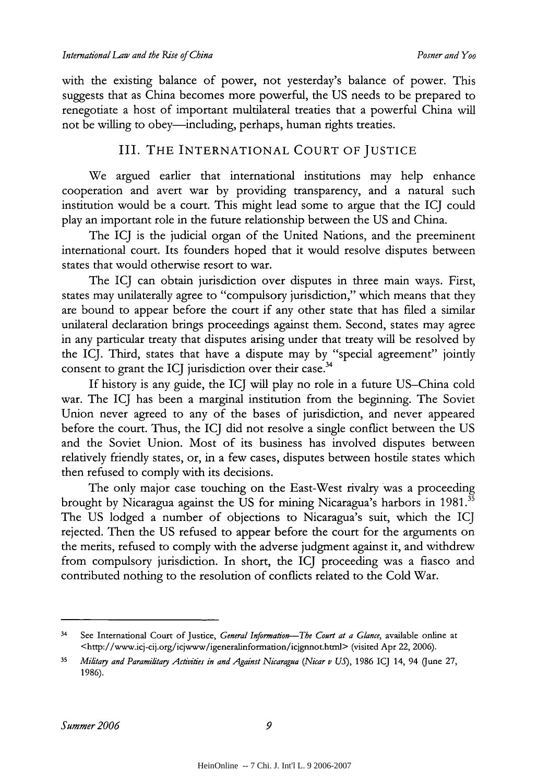with the existing balance of power, not yesterday's balance of power. This suggests that as China becomes more powerful, the US needs to be prepared to renegotiate a host of important multilateral treaties that a powerful China will not be willing to obey—including, perhaps, human rights treaties.

## III. THE INTERNATIONAL COURT OF JUSTICE

We argued earlier that international institutions may help enhance cooperation and avert war by providing transparency, and a natural such institution would be a court. This might lead some to argue that the ICJ could play an important role in the future relationship between the US and China.

The **ICJ** is the judicial organ of the United Nations, and the preeminent international court. Its founders hoped that it would resolve disputes between states that would otherwise resort to war.

The ICJ can obtain jurisdiction over disputes in three main ways. First, states may unilaterally agree to "compulsory jurisdiction," which means that they are bound to appear before the court if any other state that has filed a similar unilateral declaration brings proceedings against them. Second, states may agree in any particular treaty that disputes arising under that treaty will be resolved by the ICJ. Third, states that have a dispute may by "special agreement" jointly consent to grant the ICJ jurisdiction over their case.<sup>34</sup>

If history is any guide, the ICJ will play no role in a future US-China cold war. The ICJ has been a marginal institution from the beginning. The Soviet Union never agreed to any of the bases of jurisdiction, and never appeared before the court. Thus, the ICJ did not resolve a single conflict between the US and the Soviet Union. Most of its business has involved disputes between relatively friendly states, or, in a few cases, disputes between hostile states which then refused to comply with its decisions.

The only major case touching on the East-West rivalry was a proceeding brought by Nicaragua against the US for mining Nicaragua's harbors in 1981.<sup>35</sup> The US lodged a number of objections to Nicaragua's suit, which the ICJ rejected. Then the US refused to appear before the court for the arguments on the merits, refused to comply with the adverse judgment against it, and withdrew from compulsory jurisdiction. In short, the ICJ proceeding was a fiasco and contributed nothing to the resolution of conflicts related to the Cold War.

<sup>&</sup>lt;sup>34</sup> See International Court of Justice, *General Information*-The Court at a Glance, available online at <http://www.icj-cij.org/icjwww/igeneralinformation/icjgnnot.html> (visited Apr 22, 2006).

**<sup>35</sup>** *Militag and Paramilitagy Acicilies in and Against Nicaragua (Nicar v US),* 1986 ICJ 14, 94 (June 27, 1986).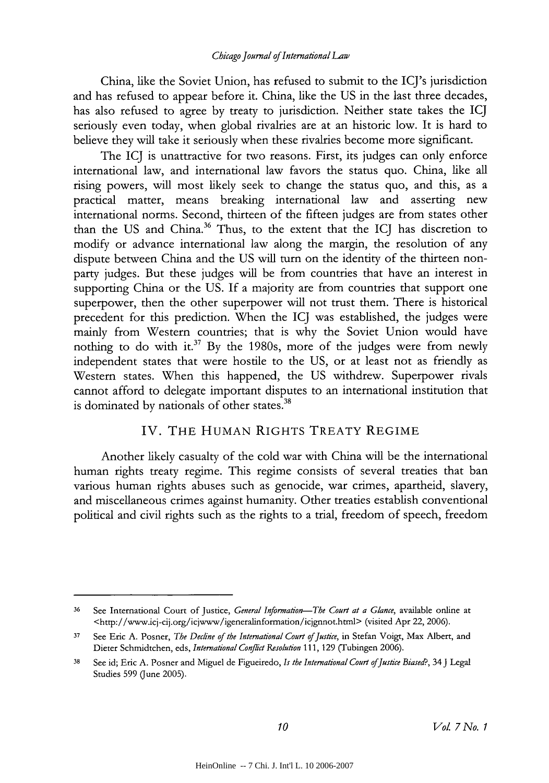#### *Chicago Journal of International Law*

China, like the Soviet Union, has refused to submit to the ICJ's jurisdiction and has refused to appear before it. China, like the US in the last three decades, has also refused to agree by treaty to jurisdiction. Neither state takes the **ICJ** seriously even today, when global rivalries are at an historic low. It is hard to believe they will take it seriously when these rivalries become more significant.

The ICJ is unattractive for two reasons. First, its judges can only enforce international law, and international law favors the status quo. China, like all rising powers, will most likely seek to change the status quo, and this, as a practical matter, means breaking international law and asserting new international norms. Second, thirteen of the fifteen judges are from states other than the US and China.<sup>36</sup> Thus, to the extent that the ICJ has discretion to modify or advance international law along the margin, the resolution of any dispute between China and the US will turn on the identity of the thirteen nonparty judges. But these judges will be from countries that have an interest in supporting China or the US. If a majority are from countries that support one superpower, then the other superpower will not trust them. There is historical precedent for this prediction. When the ICJ was established, the judges were mainly from Western countries; that is why the Soviet Union would have nothing to do with it.<sup>37</sup> By the 1980s, more of the judges were from newly independent states that were hostile to the US, or at least not as friendly as Western states. When this happened, the US withdrew. Superpower rivals cannot afford to delegate important disputes to an international institution that is dominated by nationals of other states.<sup>38</sup>

#### IV. THE HUMAN RIGHTS TREATY REGIME

Another likely casualty of the cold war with China will be the international human rights treaty regime. This regime consists of several treaties that ban various human rights abuses such as genocide, war crimes, apartheid, slavery, and miscellaneous crimes against humanity. Other treaties establish conventional political and civil rights such as the rights to a trial, freedom of speech, freedom

<sup>36</sup> See International Court of Justice, *General Information-The Court at a Glance,* available online at <http://www.icj-cij.org/icjwww/igeneralinformation/icjgnnot.html> (visited Apr 22, 2006).

**<sup>37</sup>**See Eric A. Posner, *The Decline of the International Court of Justice,* in Stefan Voigt, Max Albert, and Dieter Schmidtchen, eds, *International Conflict Resolution* 111, 129 (Tubingen 2006).

<sup>38</sup> See id; Eric A. Posner and Miguel de Figueiredo, *Is the International Court ofJustice Biased?,* 34 J Legal Studies 599 (June 2005).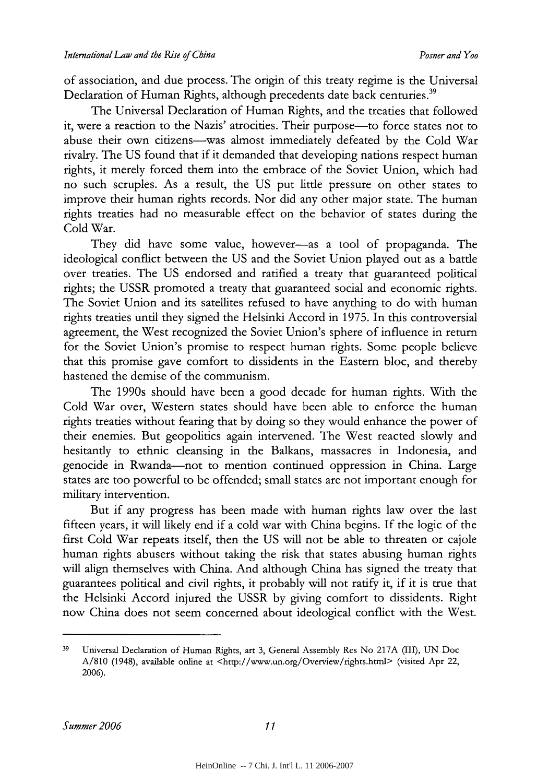of association, and due process. The origin of this treaty regime is the Universal Declaration of Human Rights, although precedents date back centuries.<sup>39</sup>

The Universal Declaration of Human Rights, and the treaties that followed it, were a reaction to the Nazis' atrocities. Their purpose-to force states not to abuse their own citizens-was almost immediately defeated by the Cold War rivalry. The US found that if it demanded that developing nations respect human rights, it merely forced them into the embrace of the Soviet Union, which had no such scruples. As a result, the US put little pressure on other states to improve their human rights records. Nor did any other major state. The human rights treaties had no measurable effect on the behavior of states during the Cold War.

They did have some value, however-as a tool of propaganda. The ideological conflict between the US and the Soviet Union played out as a battle over treaties. The US endorsed and ratified a treaty that guaranteed political rights; the USSR promoted a treaty that guaranteed social and economic rights. The Soviet Union and its satellites refused to have anything to do with human rights treaties until they signed the Helsinki Accord in 1975. In this controversial agreement, the West recognized the Soviet Union's sphere of influence in return for the Soviet Union's promise to respect human rights. Some people believe that this promise gave comfort to dissidents in the Eastern bloc, and thereby hastened the demise of the communism.

The 1990s should have been a good decade for human rights. With the Cold War over, Western states should have been able to enforce the human rights treaties without fearing that by doing so they would enhance the power of their enemies. But geopolitics again intervened. The West reacted slowly and hesitantly to ethnic cleansing in the Balkans, massacres in Indonesia, and genocide in Rwanda-not to mention continued oppression in China. Large states are too powerful to be offended; small states are not important enough for military intervention.

But if any progress has been made with human rights law over the last fifteen years, it will likely end if a cold war with China begins. If the logic of the first Cold War repeats itself, then the US will not be able to threaten or cajole human rights abusers without taking the risk that states abusing human rights will align themselves with China. And although China has signed the treaty that guarantees political and civil rights, it probably will not ratify it, if it is true that the Helsinki Accord injured the USSR by giving comfort to dissidents. Right now China does not seem concerned about ideological conflict with the West.

**<sup>39</sup>**Universal Declaration of Human Rights, art 3, General Assembly Res No 217A (III), UN Doc A/810 (1948), available online at <http://www.un.org/Overview/rights.html> (visited Apr 22, 2006).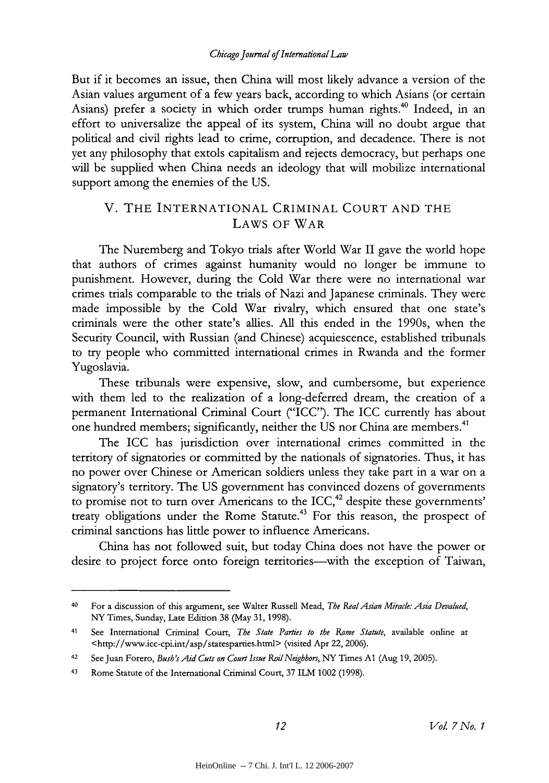#### *Chicago Journal of International Law*

But if it becomes an issue, then China will most likely advance a version of the Asian values argument of a few years back, according to which Asians (or certain Asians) prefer a society in which order trumps human rights.<sup>40</sup> Indeed, in an effort to universalize the appeal of its system, China will no doubt argue that political and civil rights lead to crime, corruption, and decadence. There is not yet any philosophy that extols capitalism and rejects democracy, but perhaps one will be supplied when China needs an ideology that will mobilize international support among the enemies of the US.

## V. THE INTERNATIONAL CRIMINAL COURT AND THE LAWS OF WAR

The Nuremberg and Tokyo trials after World War II gave the world hope that authors of crimes against humanity would no longer be immune to punishment. However, during the Cold War there were no international war crimes trials comparable to the trials of Nazi and Japanese criminals. They were made impossible by the Cold War rivalry, which ensured that one state's criminals were the other state's allies. All this ended in the 1990s, when the Security Council, with Russian (and Chinese) acquiescence, established tribunals to try people who committed international crimes in Rwanda and the former Yugoslavia.

These tribunals were expensive, slow, and cumbersome, but experience with them led to the realization of a long-deferred dream, the creation of a permanent International Criminal Court ("ICC"). The ICC currently has about one hundred members; significantly, neither the US nor China are members.<sup>41</sup>

The ICC has jurisdiction over international crimes committed in the territory of signatories or committed by the nationals of signatories. Thus, it has no power over Chinese or American soldiers unless they take part in a war on a signatory's territory. The US government has convinced dozens of governments to promise not to turn over Americans to the  $ICC<sub>1</sub><sup>42</sup>$  despite these governments' treaty obligations under the Rome Statute.<sup>43</sup> For this reason, the prospect of criminal sanctions has little power to influence Americans.

China has not followed suit, but today China does not have the power or desire to project force onto foreign territories—with the exception of Taiwan,

<sup>40</sup> For a discussion of this argument, see Walter Russell Mead, *The RealAsian Miracle: Asia Devalued,* NY Times, Sunday, Late Edition 38 (May 31, 1998).

<sup>41</sup> See International Criminal Court, *The State Parties to the Rome Statute,* available online at <http://www.icc-cpi.int/asp/statesparties.html> (visited Apr 22, 2006).

<sup>42</sup>See Juan Forero, *Bush's Aid Cuts on Court Issue Roil Neighbors,* NY Times **Al** (Aug 19, 2005).

<sup>&</sup>lt;sup>43</sup> Rome Statute of the International Criminal Court, 37 ILM 1002 (1998).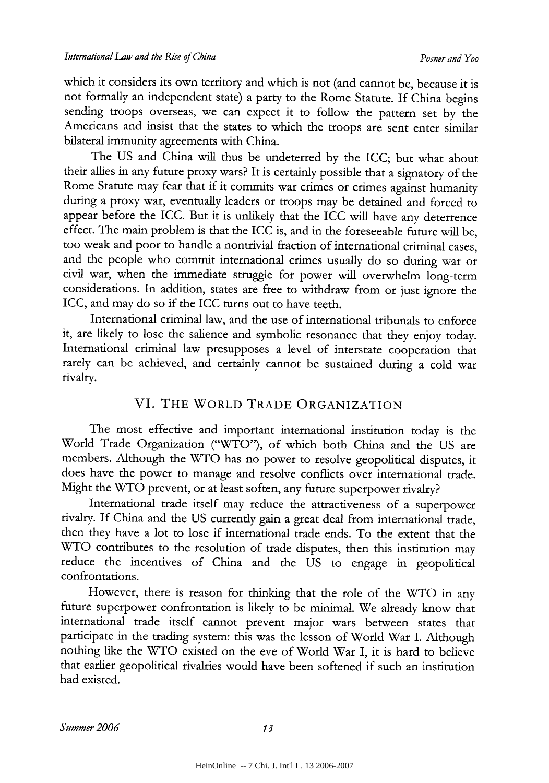which it considers its own territory and which is not (and cannot be, because it is not formally an independent state) a party to the Rome Statute. If China begins sending troops overseas, we can expect it to follow the pattern set by the Americans and insist that the states to which the troops are sent enter similar bilateral immunity agreements with China.

The US and China will thus be undeterred by the ICC; but what about their allies in any future proxy wars? It is certainly possible that a signatory of the Rome Statute may fear that if it commits war crimes or crimes against humanity during a proxy war, eventually leaders or troops may be detained and forced to appear before the ICC. But it is unlikely that the ICC will have any deterrence effect. The main problem is that the ICC is, and in the foreseeable future will be, too weak and poor to handle a nontrivial fraction of international criminal cases, and the people who commit international crimes usually do so during war or civil war, when the immediate struggle for power will overwhelm long-term considerations. In addition, states are free to withdraw from or just ignore the ICC, and may do so if the ICC turns out to have teeth.

International criminal law, and the use of international tribunals to enforce it, are likely to lose the salience and symbolic resonance that they enjoy today. International criminal law presupposes a level of interstate cooperation that rarely can be achieved, and certainly cannot be sustained during a cold war rivalry.

# VI. THE WORLD TRADE ORGANIZATION

The most effective and important international institution today is the World Trade Organization ("WTO'), of which both China and the US are members. Although the WTO has no power to resolve geopolitical disputes, it does have the power to manage and resolve conflicts over international trade. Might the WTO prevent, or at least soften, any future superpower rivalry?

International trade itself may reduce the attractiveness of a superpower rivalry. If China and the US currently gain a great deal from international trade, then they have a lot to lose if international trade ends. To the extent that the WTO contributes to the resolution of trade disputes, then this institution may reduce the incentives of China and the US to engage in geopolitical confrontations.

However, there is reason for thinking that the role of the WTO in any future superpower confrontation is likely to be minimal. We already know that international trade itself cannot prevent major wars between states that participate in the trading system: this was the lesson of World War I. Although nothing like the WTO existed on the eve of World War **1,** it is hard to believe that earlier geopolitical rivalries would have been softened if such an institution had existed.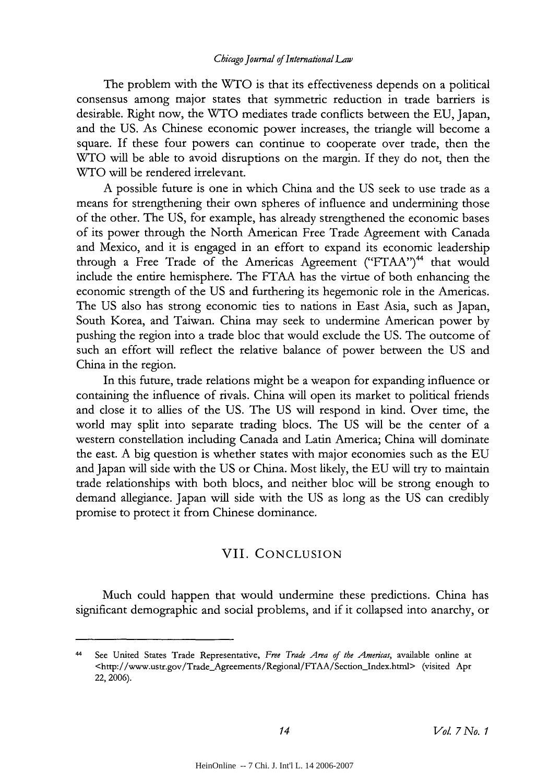#### *Chicago Journal of International Law*

The problem with the WTO is that its effectiveness depends on a political consensus among major states that symmetric reduction in trade barriers is desirable. Right now, the WTO mediates trade conflicts between the EU, Japan, and the US. As Chinese economic power increases, the triangle will become a square. If these four powers can continue to cooperate over trade, then the WTO will be able to avoid disruptions on the margin. If they do not, then the WTO will be rendered irrelevant.

A possible future is one in which China and the US seek to use trade as a means for strengthening their own spheres of influence and undermining those of the other. The US, for example, has already strengthened the economic bases of its power through the North American Free Trade Agreement with Canada and Mexico, and it is engaged in an effort to expand its economic leadership through a Free Trade of the Americas Agreement ("FTAA")<sup>44</sup> that would include the entire hemisphere. The FTAA has the virtue of both enhancing the economic strength of the US and furthering its hegemonic role in the Americas. The US also has strong economic ties to nations in East Asia, such as Japan, South Korea, and Taiwan. China may seek to undermine American power by pushing the region into a trade bloc that would exclude the US. The outcome of such an effort will reflect the relative balance of power between the US and China in the region.

In this future, trade relations might be a weapon for expanding influence or containing the influence of rivals. China will open its market to political friends and close it to allies of the US. The US will respond in kind. Over time, the world may split into separate trading blocs. The US will be the center of a western constellation including Canada and Latin America; China will dominate the east. A big question is whether states with major economies such as the EU and Japan will side with the US or China. Most likely, the EU will try to maintain trade relationships with both blocs, and neither bloc will be strong enough to demand allegiance. Japan will side with the US as long as the US can credibly promise to protect it from Chinese dominance.

## VII. CONCLUSION

Much could happen that would undermine these predictions. China has significant demographic and social problems, and if it collapsed into anarchy, or

<sup>44</sup> See United States Trade Representative, *Free Trade Area of the Amerias,* available online at <http://www.ustr.gov/Trade\_Agreements/Regional/FTAA/Section\_Index.html> (visited Apr 22, 2006).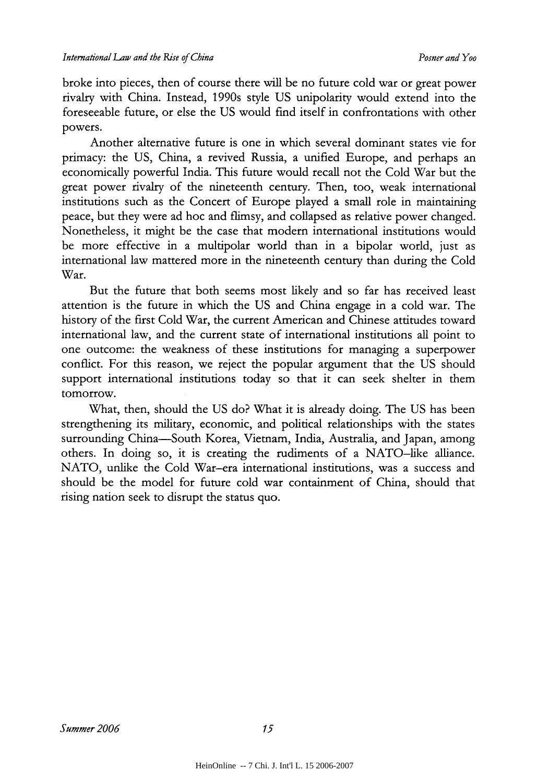broke into pieces, then of course there will be no future cold war or great power rivalry with China. Instead, 1990s style US unipolarity would extend into the foreseeable future, or else the US would find itself in confrontations with other powers.

Another alternative future is one in which several dominant states vie for primacy: the US, China, a revived Russia, a unified Europe, and perhaps an economically powerful India. This future would recall not the Cold War but the great power rivalry of the nineteenth century. Then, too, weak international institutions such as the Concert of Europe played a small role in maintaining peace, but they were ad hoc and flimsy, and collapsed as relative power changed. Nonetheless, it might be the case that modern international institutions would be more effective in a multipolar world than in a bipolar world, just as international law mattered more in the nineteenth century than during the Cold War.

But the future that both seems most likely and so far has received least attention is the future in which the US and China engage in a cold war. The history of the first Cold War, the current American and Chinese attitudes toward international law, and the current state of international institutions all point to one outcome: the weakness of these institutions for managing a superpower conflict. For this reason, we reject the popular argument that the US should support international institutions today so that it can seek shelter in them tomorrow.

What, then, should the US do? What it is already doing. The US has been strengthening its military, economic, and political relationships with the states surrounding China-South Korea, Vietnam, India, Australia, and Japan, among others. In doing so, it is creating the rudiments of a NATO-like alliance. NATO, unlike the Cold War-era international institutions, was a success and should be the model for future cold war containment of China, should that rising nation seek to disrupt the status quo.